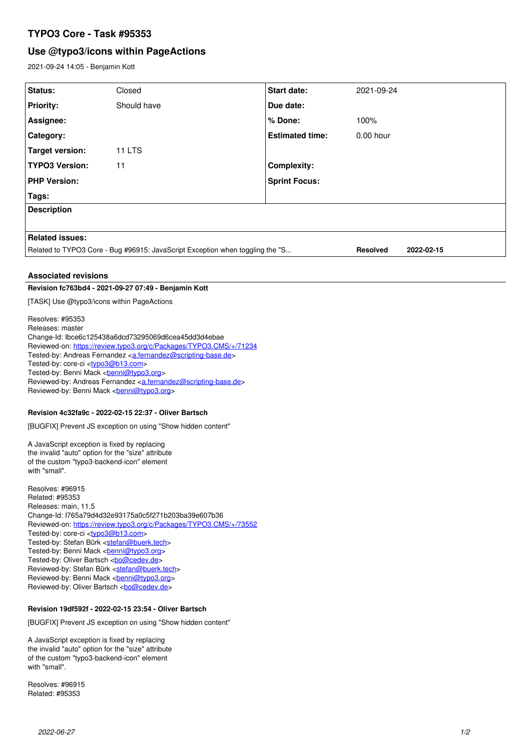# **TYPO3 Core - Task #95353**

# **Use @typo3/icons within PageActions**

2021-09-24 14:05 - Benjamin Kott

| Status:                                                                       | Closed        | Start date:            | 2021-09-24             |
|-------------------------------------------------------------------------------|---------------|------------------------|------------------------|
| <b>Priority:</b>                                                              | Should have   | Due date:              |                        |
| Assignee:                                                                     |               | % Done:                | 100%                   |
| Category:                                                                     |               | <b>Estimated time:</b> | $0.00$ hour            |
| Target version:                                                               | <b>11 LTS</b> |                        |                        |
| <b>TYPO3 Version:</b>                                                         | 11            | <b>Complexity:</b>     |                        |
| <b>PHP Version:</b>                                                           |               | <b>Sprint Focus:</b>   |                        |
| Tags:                                                                         |               |                        |                        |
| <b>Description</b>                                                            |               |                        |                        |
|                                                                               |               |                        |                        |
| <b>Related issues:</b>                                                        |               |                        |                        |
| Related to TYPO3 Core - Bug #96915: JavaScript Exception when toggling the "S |               |                        | 2022-02-15<br>Resolved |
|                                                                               |               |                        |                        |
| <b>Associated revisions</b>                                                   |               |                        |                        |

## **Revision fc763bd4 - 2021-09-27 07:49 - Benjamin Kott**

[TASK] Use @typo3/icons within PageActions

Resolves: #95353 Releases: master Change-Id: Ibce6c125438a6dcd73295069d6cea45dd3d4ebae Reviewed-on:<https://review.typo3.org/c/Packages/TYPO3.CMS/+/71234> Tested-by: Andreas Fernandez [<a.fernandez@scripting-base.de>](mailto:a.fernandez@scripting-base.de) Tested-by: core-ci [<typo3@b13.com](mailto:typo3@b13.com)> Tested-by: Benni Mack <[benni@typo3.org>](mailto:benni@typo3.org) Reviewed-by: Andreas Fernandez [<a.fernandez@scripting-base.de](mailto:a.fernandez@scripting-base.de)> Reviewed-by: Benni Mack <[benni@typo3.org>](mailto:benni@typo3.org)

### **Revision 4c32fa9c - 2022-02-15 22:37 - Oliver Bartsch**

[BUGFIX] Prevent JS exception on using "Show hidden content"

A JavaScript exception is fixed by replacing the invalid "auto" option for the "size" attribute of the custom "typo3-backend-icon" element with "small".

Resolves: #96915 Related: #95353 Releases: main, 11.5 Change-Id: I765a79d4d32e93175a0c5f271b203ba39e607b36 Reviewed-on:<https://review.typo3.org/c/Packages/TYPO3.CMS/+/73552> Tested-by: core-ci [<typo3@b13.com](mailto:typo3@b13.com)> Tested-by: Stefan Bürk <[stefan@buerk.tech](mailto:stefan@buerk.tech)> Tested-by: Benni Mack <br /> **[benni@typo3.org>](mailto:benni@typo3.org)** Tested-by: Oliver Bartsch <br/> <br/> <br/> <br/> <br/>Ocedev.de> Reviewed-by: Stefan Bürk <[stefan@buerk.tech>](mailto:stefan@buerk.tech) Reviewed-by: Benni Mack <br/> <br/>penni@typo3.org> Reviewed-by: Oliver Bartsch <br/> <br/> <br/> <br/> <br/> <br/> <br/> <br/> Reviewed-by: Oliver Bartsch <br/> <br/> <br/> <br/><br/> $\frac{1}{2}$ 

### **Revision 19df592f - 2022-02-15 23:54 - Oliver Bartsch**

[BUGFIX] Prevent JS exception on using "Show hidden content"

A JavaScript exception is fixed by replacing the invalid "auto" option for the "size" attribute of the custom "typo3-backend-icon" element with "small".

Resolves: #96915 Related: #95353